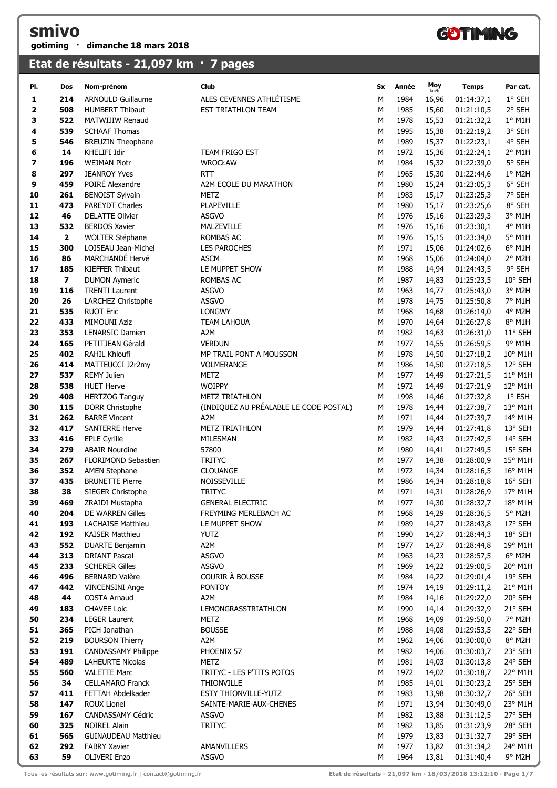## **smivo gotiming · dimanche 18 mars 2018**



## **Etat de résultats - 21,097 km · 7 pages**

| PI.            | Dos          | Nom-prénom                 | <b>Club</b>                            | Sx | Année | Moy<br>km/h | <b>Temps</b> | Par cat.        |
|----------------|--------------|----------------------------|----------------------------------------|----|-------|-------------|--------------|-----------------|
| 1              | 214          | <b>ARNOULD Guillaume</b>   | ALES CEVENNES ATHLÉTISME               | M  | 1984  | 16,96       | 01:14:37,1   | 1° SEH          |
| 2              | 508          | <b>HUMBERT Thibaut</b>     | EST TRIATHLON TEAM                     | M  | 1985  | 15,60       | 01:21:10,5   | 2° SEH          |
| 3              | 522          | MATWIJIW Renaud            |                                        | M  | 1978  | 15,53       | 01:21:32,2   | $1^\circ$ M1H   |
| 4              | 539          | <b>SCHAAF Thomas</b>       |                                        | M  | 1995  | 15,38       | 01:22:19,2   | 3° SEH          |
| 5              | 546          | <b>BREUZIN Theophane</b>   |                                        | M  | 1989  | 15,37       | 01:22:23,1   | 4° SEH          |
| 6              | 14           | KHELIFI Idir               | TEAM FRIGO EST                         | M  | 1972  | 15,36       | 01:22:24,1   | 2° M1H          |
| $\overline{ }$ | 196          | <b>WEJMAN Piotr</b>        | <b>WROCŁAW</b>                         | M  | 1984  | 15,32       | 01:22:39,0   | 5° SEH          |
| 8              | 297          | <b>JEANROY Yves</b>        | <b>RTT</b>                             | M  | 1965  | 15,30       | 01:22:44,6   | 1° M2H          |
| 9              | 459          | POIRÉ Alexandre            | A2M ECOLE DU MARATHON                  | M  | 1980  | 15,24       | 01:23:05,3   | 6° SEH          |
| 10             | 261          | <b>BENOIST Sylvain</b>     | METZ                                   | M  | 1983  | 15,17       | 01:23:25,3   | 7° SEH          |
| 11             | 473          | PAREYDT Charles            | <b>PLAPEVILLE</b>                      | M  | 1980  | 15,17       | 01:23:25,6   | 8° SEH          |
| 12             | 46           | <b>DELATTE Olivier</b>     | <b>ASGVO</b>                           | M  | 1976  | 15,16       | 01:23:29,3   | 3° M1H          |
| 13             | 532          | <b>BERDOS Xavier</b>       | MALZEVILLE                             | M  | 1976  | 15,16       | 01:23:30,1   | 4° M1H          |
| 14             | $\mathbf{2}$ | <b>WOLTER Stéphane</b>     | <b>ROMBAS AC</b>                       | M  | 1976  | 15,15       | 01:23:34,0   | 5° M1H          |
| 15             | 300          | LOISEAU Jean-Michel        | <b>LES PAROCHES</b>                    | M  | 1971  | 15,06       | 01:24:02,6   | 6° M1H          |
| 16             | 86           | MARCHANDÉ Hervé            | <b>ASCM</b>                            | M  | 1968  | 15,06       | 01:24:04,0   | 2° M2H          |
| 17             | 185          | KIEFFER Thibaut            | LE MUPPET SHOW                         | М  | 1988  | 14,94       | 01:24:43,5   | 9° SEH          |
| 18             | 7            | <b>DUMON Aymeric</b>       | <b>ROMBAS AC</b>                       | M  | 1987  | 14,83       | 01:25:23,5   | 10° SEH         |
| 19             | 116          | <b>TRENTI Laurent</b>      | <b>ASGVO</b>                           | M  | 1963  | 14,77       | 01:25:43,0   | 3° M2H          |
| 20             | 26           | LARCHEZ Christophe         | <b>ASGVO</b>                           | M  | 1978  | 14,75       | 01:25:50,8   | 7° M1H          |
| 21             | 535          | <b>RUOT Eric</b>           | <b>LONGWY</b>                          | M  | 1968  | 14,68       | 01:26:14,0   | 4° M2H          |
| 22             | 433          | <b>MIMOUNI Aziz</b>        | <b>TEAM LAHOUA</b>                     | M  | 1970  | 14,64       | 01:26:27,8   | 8° M1H          |
| 23             | 353          | <b>LENARSIC Damien</b>     | A <sub>2</sub> M                       | M  | 1982  | 14,63       | 01:26:31,0   | 11° SEH         |
| 24             | 165          | PETITJEAN Gérald           | <b>VERDUN</b>                          | M  | 1977  | 14,55       | 01:26:59,5   | 9° M1H          |
| 25             | 402          | RAHIL Khloufi              | MP TRAIL PONT A MOUSSON                | M  | 1978  | 14,50       | 01:27:18,2   | 10° M1H         |
| 26             | 414          | MATTEUCCI J2r2my           | VOLMERANGE                             | M  | 1986  | 14,50       | 01:27:18,5   | 12° SEH         |
| 27             | 537          | REMY Julien                | <b>METZ</b>                            | M  | 1977  | 14,49       | 01:27:21,5   | 11° M1H         |
| 28             | 538          | <b>HUET Herve</b>          | <b>WOIPPY</b>                          | M  | 1972  | 14,49       | 01:27:21,9   | 12° M1H         |
| 29             | 408          | <b>HERTZOG Tanguy</b>      | METZ TRIATHLON                         | M  | 1998  | 14,46       | 01:27:32,8   | $1^{\circ}$ ESH |
| 30             | 115          | DORR Christophe            | (INDIQUEZ AU PRÉALABLE LE CODE POSTAL) | M  | 1978  | 14,44       | 01:27:38,7   | 13° M1H         |
| 31             | 262          | <b>BARRE Vincent</b>       | A <sub>2</sub> M                       | M  | 1971  | 14,44       | 01:27:39,7   | 14° M1H         |
| 32             | 417          | <b>SANTERRE Herve</b>      | METZ TRIATHLON                         | M  | 1979  | 14,44       | 01:27:41,8   | 13° SEH         |
| 33             | 416          | <b>EPLE Cyrille</b>        | MILESMAN                               | M  | 1982  | 14,43       | 01:27:42,5   | 14° SEH         |
| 34             | 279          | <b>ABAIR Nourdine</b>      | 57800                                  | M  | 1980  | 14,41       | 01:27:49,5   | 15° SEH         |
| 35             | 267          | FLORIMOND Sebastien        | <b>TRITYC</b>                          | M  | 1977  | 14,38       | 01:28:00,9   | 15° M1H         |
| 36             | 352          | <b>AMEN Stephane</b>       | CLOUANGE                               | M  | 1972  | 14,34       | 01:28:16,5   | 16° M1H         |
| 37             | 435          | <b>BRUNETTE Pierre</b>     | NOISSEVILLE                            | M  | 1986  | 14,34       | 01:28:18,8   | 16° SEH         |
| 38             | 38           | SIEGER Christophe          | <b>TRITYC</b>                          | M  | 1971  | 14,31       | 01:28:26,9   | 17° M1H         |
| 39             | 469          | ZRAIDI Mustapha            | <b>GENERAL ELECTRIC</b>                | М  | 1977  | 14,30       | 01:28:32,7   | 18° M1H         |
| 40             | 204          | DE WARREN Gilles           | FREYMING MERLEBACH AC                  | М  | 1968  | 14,29       | 01:28:36,5   | 5° M2H          |
| 41             | 193          | <b>LACHAISE Matthieu</b>   | LE MUPPET SHOW                         | M  | 1989  | 14,27       | 01:28:43,8   | 17° SEH         |
| 42             | 192          | <b>KAISER Matthieu</b>     | <b>YUTZ</b>                            | М  | 1990  | 14,27       | 01:28:44,3   | 18° SEH         |
| 43             | 552          | <b>DUARTE Benjamin</b>     | A2M                                    | M  | 1977  | 14,27       | 01:28:44,8   | 19° M1H         |
| 44             | 313          | <b>DRIANT Pascal</b>       | <b>ASGVO</b>                           | М  | 1963  | 14,23       | 01:28:57,5   | 6° M2H          |
| 45             | 233          | <b>SCHERER Gilles</b>      | <b>ASGVO</b>                           | М  | 1969  | 14,22       | 01:29:00,5   | 20° M1H         |
| 46             | 496          | <b>BERNARD Valère</b>      | COURIR À BOUSSE                        | М  | 1984  | 14,22       | 01:29:01,4   | 19° SEH         |
| 47             | 442          | <b>VINCENSINI Ange</b>     | <b>PONTOY</b>                          | М  | 1974  | 14,19       | 01:29:11,2   | 21° M1H         |
| 48             | 44           | COSTA Arnaud               | A2M                                    | M  | 1984  | 14,16       | 01:29:22,0   | 20° SEH         |
| 49             | 183          | <b>CHAVEE Loic</b>         | LEMONGRASSTRIATHLON                    | М  | 1990  | 14,14       | 01:29:32,9   | 21° SEH         |
| 50             | 234          | <b>LEGER Laurent</b>       | <b>METZ</b>                            | М  | 1968  | 14,09       | 01:29:50,0   | 7° M2H          |
| 51             | 365          | PICH Jonathan              | <b>BOUSSE</b>                          | М  | 1988  | 14,08       | 01:29:53,5   | 22° SEH         |
| 52             | 219          | <b>BOURSON Thierry</b>     | A2M                                    | M  | 1962  | 14,06       | 01:30:00,0   | 8° M2H          |
| 53             | 191          | <b>CANDASSAMY Philippe</b> | PHOENIX 57                             | М  | 1982  | 14,06       | 01:30:03,7   | 23° SEH         |
| 54             | 489          | <b>LAHEURTE Nicolas</b>    | <b>METZ</b>                            | М  | 1981  | 14,03       | 01:30:13,8   | 24° SEH         |
| 55             | 560          | <b>VALETTE Marc</b>        | TRITYC - LES P'TITS POTOS              | М  | 1972  | 14,02       | 01:30:18,7   | 22° M1H         |
| 56             | 34           | <b>CELLAMARO Franck</b>    | <b>THIONVILLE</b>                      | М  | 1985  | 14,01       | 01:30:23,2   | 25° SEH         |
| 57             | 411          | FETTAH Abdelkader          | ESTY THIONVILLE-YUTZ                   | М  | 1983  | 13,98       | 01:30:32,7   | 26° SEH         |
| 58             | 147          | ROUX Lionel                | SAINTE-MARIE-AUX-CHENES                | М  | 1971  | 13,94       | 01:30:49,0   | 23° M1H         |
| 59             | 167          | CANDASSAMY Cédric          | <b>ASGVO</b>                           | М  | 1982  | 13,88       | 01:31:12,5   | 27° SEH         |
| 60             | 325          | <b>NOIREL Alain</b>        | <b>TRITYC</b>                          | М  | 1982  | 13,85       | 01:31:23,9   | 28° SEH         |
| 61             | 565          | <b>GUINAUDEAU Matthieu</b> |                                        | M  | 1979  | 13,83       | 01:31:32,7   | 29° SEH         |
| 62             | 292          | <b>FABRY Xavier</b>        | AMANVILLERS                            | М  | 1977  | 13,82       | 01:31:34,2   | 24° M1H         |
| 63             | 59           | <b>OLIVERI Enzo</b>        | <b>ASGVO</b>                           | М  | 1964  | 13,81       | 01:31:40,4   | 9° M2H          |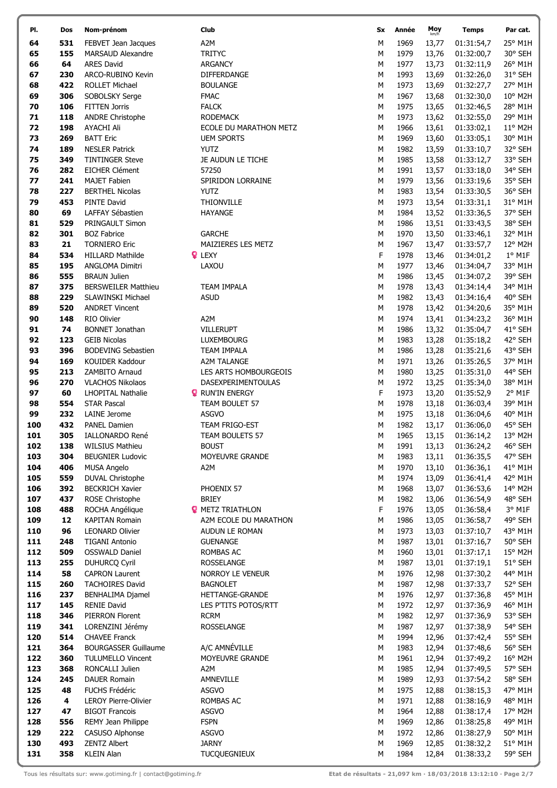| PI.        | Dos        | Nom-prénom                                              | <b>Club</b>                          | Sx     | Année        | Moy            | <b>Temps</b>             | Par cat.           |
|------------|------------|---------------------------------------------------------|--------------------------------------|--------|--------------|----------------|--------------------------|--------------------|
| 64         | 531        | FEBVET Jean Jacques                                     | A <sub>2</sub> M                     | M      | 1969         | 13,77          | 01:31:54,7               | 25° M1H            |
| 65         | 155        | MARSAUD Alexandre                                       | <b>TRITYC</b>                        | M      | 1979         | 13,76          | 01:32:00,7               | 30° SEH            |
| 66         | 64         | <b>ARES David</b>                                       | <b>ARGANCY</b>                       | M      | 1977         | 13,73          | 01:32:11,9               | 26° M1H            |
| 67         | 230        | ARCO-RUBINO Kevin                                       | DIFFERDANGE                          | M      | 1993         | 13,69          | 01:32:26,0               | 31° SEH            |
| 68         | 422        | <b>ROLLET Michael</b>                                   | <b>BOULANGE</b>                      | M      | 1973         | 13,69          | 01:32:27,7               | 27° M1H            |
| 69         | 306        | SOBOLSKY Serge                                          | <b>FMAC</b>                          | M      | 1967         | 13,68          | 01:32:30,0               | 10° M2H            |
| 70         | 106        | <b>FITTEN Jorris</b>                                    | <b>FALCK</b>                         | M      | 1975         | 13,65          | 01:32:46,5               | 28° M1H            |
| 71         | 118        | <b>ANDRE Christophe</b>                                 | <b>RODEMACK</b>                      | M      | 1973         | 13,62          | 01:32:55,0               | 29° M1H            |
| 72         | 198        | AYACHI Ali                                              | ECOLE DU MARATHON METZ               | M      | 1966         | 13,61          | 01:33:02,1               | 11° M2H            |
| 73         | 269        | <b>BATT Eric</b>                                        | <b>UEM SPORTS</b>                    | M      | 1969         | 13,60          | 01:33:05,1               | 30° M1H            |
| 74         | 189        | <b>NESLER Patrick</b>                                   | YUTZ                                 | M      | 1982         | 13,59          | 01:33:10,7               | 32° SEH            |
| 75         | 349        | <b>TINTINGER Steve</b>                                  | JE AUDUN LE TICHE                    | М      | 1985         | 13,58          | 01:33:12,7               | 33° SEH            |
| 76         | 282        | <b>EICHER Clément</b>                                   | 57250                                | M      | 1991         | 13,57          | 01:33:18,0               | 34° SEH            |
| 77         | 241        | <b>MAJET Fabien</b>                                     | SPIRIDON LORRAINE                    | M      | 1979         | 13,56          | 01:33:19,6               | 35° SEH            |
| 78         | 227        | <b>BERTHEL Nicolas</b>                                  | YUTZ                                 | M      | 1983         | 13,54          | 01:33:30,5               | 36° SEH            |
| 79         | 453        | <b>PINTE David</b>                                      | THIONVILLE                           | M      | 1973         | 13,54          | 01:33:31,1               | 31° M1H            |
| 80         | 69         | LAFFAY Sébastien                                        | <b>HAYANGE</b>                       | M      | 1984         | 13,52          | 01:33:36,5               | 37° SEH            |
| 81         | 529        | PRINGAULT Simon                                         |                                      | M      | 1986         | 13,51          | 01:33:43,5               | 38° SEH            |
| 82         | 301        | <b>BOZ Fabrice</b>                                      | <b>GARCHE</b>                        | M      | 1970         | 13,50          | 01:33:46,1               | 32° M1H            |
| 83         | 21         | <b>TORNIERO Eric</b>                                    | MAIZIERES LES METZ                   | M      | 1967         | 13,47          | 01:33:57,7               | 12° M2H            |
| 84         | 534        | <b>HILLARD Mathilde</b>                                 | <b>Q</b> LEXY                        | F      | 1978         | 13,46          | 01:34:01,2               | $1^{\circ}$ M1F    |
| 85         | 195        | <b>ANGLOMA Dimitri</b>                                  | LAXOU                                | M      | 1977         | 13,46          | 01:34:04,7               | 33° M1H            |
| 86         | 555        | <b>BRAUN Julien</b>                                     |                                      | M      | 1986         | 13,45          | 01:34:07,2               | 39° SEH            |
| 87         | 375        | <b>BERSWEILER Matthieu</b>                              | <b>TEAM IMPALA</b>                   | M      | 1978         | 13,43          | 01:34:14,4               | 34° M1H            |
| 88         | 229<br>520 | <b>SLAWINSKI Michael</b>                                | <b>ASUD</b>                          | M      | 1982         | 13,43          | 01:34:16,4               | 40° SEH            |
| 89         |            | <b>ANDRET Vincent</b>                                   |                                      | М      | 1978         | 13,42          | 01:34:20,6               | 35° M1H            |
| 90         | 148<br>74  | RIO Olivier<br><b>BONNET Jonathan</b>                   | A <sub>2</sub> M<br><b>VILLERUPT</b> | M<br>M | 1974<br>1986 | 13,41          | 01:34:23,2               | 36° M1H            |
| 91<br>92   | 123        | <b>GEIB Nicolas</b>                                     | <b>LUXEMBOURG</b>                    | M      | 1983         | 13,32          | 01:35:04,7               | 41° SEH<br>42° SEH |
| 93         | 396        | <b>BODEVING Sebastien</b>                               | <b>TEAM IMPALA</b>                   | M      | 1986         | 13,28<br>13,28 | 01:35:18,2<br>01:35:21,6 | 43° SEH            |
| 94         | 169        | KOUIDER Kaddour                                         | A2M TALANGE                          | M      | 1971         | 13,26          | 01:35:26,5               | 37° M1H            |
| 95         | 213        | ZAMBITO Arnaud                                          | LES ARTS HOMBOURGEOIS                | M      | 1980         | 13,25          | 01:35:31,0               | 44° SEH            |
| 96         | 270        | <b>VLACHOS Nikolaos</b>                                 | DASEXPERIMENTOULAS                   | M      | 1972         | 13,25          | 01:35:34,0               | 38° M1H            |
| 97         | 60         | <b>LHOPITAL Nathalie</b>                                | <b>P</b> RUN'IN ENERGY               | F      | 1973         | 13,20          | 01:35:52,9               | $2°$ M1F           |
| 98         | 554        | <b>STAR Pascal</b>                                      | TEAM BOULET 57                       | M      | 1978         | 13,18          | 01:36:03,4               | 39° M1H            |
| 99         | 232        | <b>LAINE Jerome</b>                                     | <b>ASGVO</b>                         | M      | 1975         | 13,18          | 01:36:04,6               | 40° M1H            |
| 100        | 432        | <b>PANEL Damien</b>                                     | TEAM FRIGO-EST                       | M      | 1982         | 13,17          | 01:36:06,0               | 45° SEH            |
| 101        | 305        | IALLONARDO René                                         | TEAM BOULETS 57                      | M      | 1965         | 13,15          | 01:36:14,2               | 13° M2H            |
| 102        | 138        | WILSIUS Mathieu                                         | <b>BOUST</b>                         | M      | 1991         | 13,13          | 01:36:24,2               | 46° SEH            |
| 103        | 304        | <b>BEUGNIER Ludovic</b>                                 | MOYEUVRE GRANDE                      | М      | 1983         | 13,11          | 01:36:35,5               | 47° SEH            |
| 104        | 406        | MUSA Angelo                                             | A2M                                  | M      | 1970         | 13,10          | 01:36:36,1               | 41° M1H            |
| 105        | 559        | <b>DUVAL Christophe</b>                                 |                                      | M      | 1974         | 13,09          | 01:36:41,4               | 42° M1H            |
| 106        | 392        | <b>BECKRICH Xavier</b>                                  | PHOENIX 57                           | M      | 1968         | 13,07          | 01:36:53,6               | 14° M2H            |
| 107        | 437        | ROSE Christophe                                         | <b>BRIEY</b>                         | M      | 1982         | 13,06          | 01:36:54,9               | 48° SEH            |
| 108        | 488        | ROCHA Angélique                                         | <b>Q</b> METZ TRIATHLON              | F      | 1976         | 13,05          | 01:36:58,4               | 3° M1F             |
| 109        | 12         | <b>KAPITAN Romain</b>                                   | A2M ECOLE DU MARATHON                | M      | 1986         | 13,05          | 01:36:58,7               | 49° SEH            |
| 110        | 96         | <b>LEONARD Olivier</b>                                  | AUDUN LE ROMAN                       | M      | 1973         | 13,03          | 01:37:10,7               | 43° M1H            |
| 111        | 248        | <b>TIGANI Antonio</b>                                   | <b>GUENANGE</b>                      | M      | 1987         | 13,01          | 01:37:16,7               | 50° SEH            |
| 112        | 509        | OSSWALD Daniel                                          | ROMBAS AC                            | М      | 1960         | 13,01          | 01:37:17,1               | 15° M2H            |
| 113        | 255        | <b>DUHURCQ Cyril</b>                                    | <b>ROSSELANGE</b>                    | M      | 1987         | 13,01          | 01:37:19,1               | 51° SEH            |
| 114        | 58         | <b>CAPRON Laurent</b>                                   | NORROY LE VENEUR                     | М      | 1976         | 12,98          | 01:37:30,2               | 44° M1H            |
| 115        | 260        | <b>TACHOIRES David</b>                                  | <b>BAGNOLET</b>                      | M      | 1987         | 12,98          | 01:37:33,7               | 52° SEH            |
| 116        | 237        | <b>BENHALIMA Djamel</b>                                 | HETTANGE-GRANDE                      | М      | 1976         | 12,97          | 01:37:36,8               | 45° M1H            |
| 117        | 145        | <b>RENIE David</b>                                      | LES P'TITS POTOS/RTT                 | М      | 1972         | 12,97          | 01:37:36,9               | 46° M1H            |
| 118        | 346        | PIERRON Florent                                         | <b>RCRM</b>                          | М      | 1982         | 12,97          | 01:37:36,9               | 53° SEH            |
| 119        | 341        | LORENZINI Jérémy                                        | ROSSELANGE                           | М      | 1987         | 12,97          | 01:37:38,9               | 54° SEH            |
| 120        | 514        | <b>CHAVEE Franck</b>                                    | A/C AMNÉVILLE                        | M      | 1994         | 12,96          | 01:37:42,4               | 55° SEH            |
| 121<br>122 | 364<br>360 | <b>BOURGASSER Guillaume</b><br><b>TULUMELLO Vincent</b> | MOYEUVRE GRANDE                      | М<br>М | 1983<br>1961 | 12,94          | 01:37:48,6               | 56° SEH<br>16° M2H |
| 123        | 368        | RONCALLI Julien                                         | A2M                                  | M      | 1985         | 12,94<br>12,94 | 01:37:49,2<br>01:37:49,5 | 57° SEH            |
| 124        | 245        | <b>DAUER Romain</b>                                     | AMNEVILLE                            | M      | 1989         | 12,93          | 01:37:54,2               | 58° SEH            |
| 125        | 48         | FUCHS Frédéric                                          | <b>ASGVO</b>                         | M      | 1975         | 12,88          | 01:38:15,3               | 47° M1H            |
| 126        | 4          | <b>LEROY Pierre-Olivier</b>                             | ROMBAS AC                            | M      | 1971         | 12,88          | 01:38:16,9               | 48° M1H            |
| 127        | 47         | <b>BIGOT Francois</b>                                   | <b>ASGVO</b>                         | M      | 1964         | 12,88          | 01:38:17,4               | 17° M2H            |
| 128        | 556        | REMY Jean Philippe                                      | <b>FSPN</b>                          | M      | 1969         | 12,86          | 01:38:25,8               | 49° M1H            |
| 129        | 222        | CASUSO Alphonse                                         | <b>ASGVO</b>                         | М      | 1972         | 12,86          | 01:38:27,9               | 50° M1H            |
| 130        | 493        | ZENTZ Albert                                            | <b>JARNY</b>                         | M      | 1969         | 12,85          | 01:38:32,2               | 51° M1H            |
| 131        | 358        | <b>KLEIN Alan</b>                                       | <b>TUCQUEGNIEUX</b>                  | М      | 1984         | 12,84          | 01:38:33,2               | 59° SEH            |
|            |            |                                                         |                                      |        |              |                |                          |                    |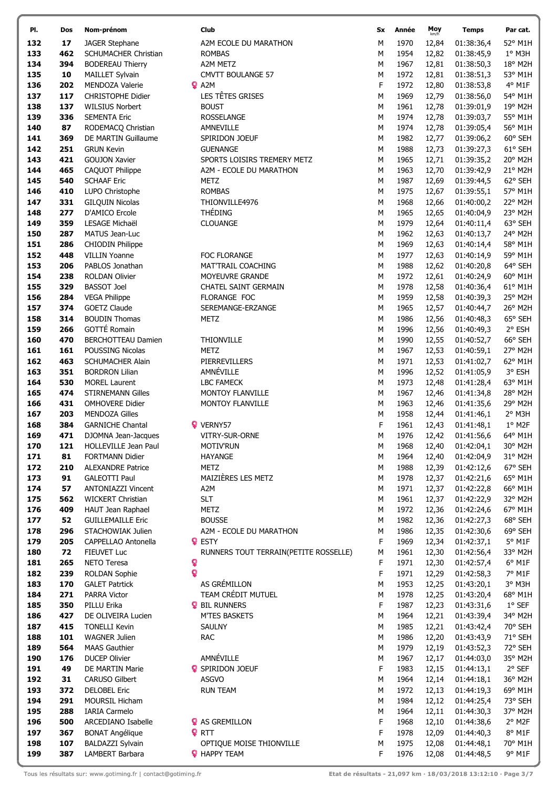| PI.        | Dos        | Nom-prénom                                   |   | <b>Club</b>                           | Sx     | Année        | Moy            | <b>Temps</b>                   | Par cat.           |
|------------|------------|----------------------------------------------|---|---------------------------------------|--------|--------------|----------------|--------------------------------|--------------------|
| 132        | 17         | JAGER Stephane                               |   | A2M ECOLE DU MARATHON                 | M      | 1970         | 12,84          | 01:38:36,4                     | 52° M1H            |
| 133        | 462        | SCHUMACHER Christian                         |   | <b>ROMBAS</b>                         | М      | 1954         | 12,82          | 01:38:45,9                     | 1° M3H             |
| 134        | 394        | <b>BODEREAU Thierry</b>                      |   | A2M METZ                              | М      | 1967         | 12,81          | 01:38:50,3                     | 18° M2H            |
| 135        | 10         | <b>MAILLET Sylvain</b>                       |   | <b>CMVTT BOULANGE 57</b>              | М      | 1972         | 12,81          | 01:38:51,3                     | 53° M1H            |
| 136        | 202        | MENDOZA Valerie                              |   | $Q$ A2M                               | F      | 1972         | 12,80          | 01:38:53,8                     | 4° M1F             |
| 137        | 117        | CHRISTOPHE Didier                            |   | LES TÊTES GRISES                      | М      | 1969         | 12,79          | 01:38:56,0                     | 54° M1H            |
| 138        | 137        | <b>WILSIUS Norbert</b>                       |   | <b>BOUST</b>                          | М      | 1961         | 12,78          | 01:39:01,9                     | 19° M2H            |
| 139        | 336        | <b>SEMENTA Eric</b>                          |   | ROSSELANGE                            | М      | 1974         | 12,78          | 01:39:03,7                     | 55° M1H            |
| 140        | 87         | RODEMACQ Christian                           |   | AMNEVILLE                             | М      | 1974         | 12,78          | 01:39:05,4                     | 56° M1H            |
| 141        | 369        | DE MARTIN Guillaume                          |   | SPIRIDON JOEUF                        | М      | 1982         | 12,77          | 01:39:06,2                     | 60° SEH            |
| 142        | 251        | <b>GRUN Kevin</b>                            |   | <b>GUENANGE</b>                       | M      | 1988         | 12,73          | 01:39:27,3                     | 61° SEH            |
| 143        | 421        | <b>GOUJON Xavier</b>                         |   | SPORTS LOISIRS TREMERY METZ           | М      | 1965         | 12,71          | 01:39:35,2                     | 20° M2H            |
| 144        | 465        | CAQUOT Philippe                              |   | A2M - ECOLE DU MARATHON               | M      | 1963         | 12,70          | 01:39:42,9                     | 21° M2H            |
| 145        | 540        | <b>SCHAAF Eric</b>                           |   | <b>METZ</b>                           | М      | 1987         | 12,69          | 01:39:44,5                     | 62° SEH            |
| 146<br>147 | 410<br>331 | LUPO Christophe<br><b>GILQUIN Nicolas</b>    |   | <b>ROMBAS</b><br>THIONVILLE4976       | M<br>М | 1975<br>1968 | 12,67<br>12,66 | 01:39:55,1<br>01:40:00,2       | 57° M1H<br>22° M2H |
| 148        | 277        | D'AMICO Ercole                               |   | <b>THÉDING</b>                        | M      | 1965         | 12,65          | 01:40:04,9                     | 23° M2H            |
| 149        | 359        | LESAGE Michaël                               |   | <b>CLOUANGE</b>                       | M      | 1979         | 12,64          | 01:40:11,4                     | 63° SEH            |
| 150        | 287        | MATUS Jean-Luc                               |   |                                       | M      | 1962         | 12,63          | 01:40:13,7                     | 24° M2H            |
| 151        | 286        | CHIODIN Philippe                             |   |                                       | M      | 1969         | 12,63          | 01:40:14,4                     | 58° M1H            |
| 152        | 448        | <b>VILLIN Yoanne</b>                         |   | FOC FLORANGE                          | М      | 1977         | 12,63          | 01:40:14,9                     | 59° M1H            |
| 153        | 206        | PABLOS Jonathan                              |   | MAT'TRAIL COACHING                    | М      | 1988         | 12,62          | 01:40:20,8                     | 64° SEH            |
| 154        | 238        | <b>ROLDAN Olivier</b>                        |   | MOYEUVRE GRANDE                       | М      | 1972         | 12,61          | 01:40:24,9                     | 60° M1H            |
| 155        | 329        | <b>BASSOT Joel</b>                           |   | CHATEL SAINT GERMAIN                  | М      | 1978         | 12,58          | 01:40:36,4                     | 61° M1H            |
| 156        | 284        | <b>VEGA Philippe</b>                         |   | FLORANGE FOC                          | М      | 1959         | 12,58          | 01:40:39,3                     | 25° M2H            |
| 157        | 374        | <b>GOETZ Claude</b>                          |   | SEREMANGE-ERZANGE                     | M      | 1965         | 12,57          | 01:40:44,7                     | 26° M2H            |
| 158        | 314        | <b>BOUDIN Thomas</b>                         |   | METZ                                  | M      | 1986         | 12,56          | 01:40:48,3                     | 65° SEH            |
| 159        | 266        | GOTTÉ Romain                                 |   |                                       | М      | 1996         | 12,56          | 01:40:49,3                     | 2° ESH             |
| 160        | 470        | <b>BERCHOTTEAU Damien</b>                    |   | <b>THIONVILLE</b>                     | M      | 1990         | 12,55          | 01:40:52,7                     | 66° SEH            |
| 161        | 161        | POUSSING Nicolas                             |   | <b>METZ</b>                           | М      | 1967         | 12,53          | 01:40:59,1                     | 27° M2H            |
| 162        | 463        | <b>SCHUMACHER Alain</b>                      |   | PIERREVILLERS                         | M      | 1971         | 12,53          | 01:41:02,7                     | 62° M1H            |
| 163        | 351        | <b>BORDRON Lilian</b>                        |   | AMNÉVILLE                             | M      | 1996         | 12,52          | 01:41:05,9                     | 3° ESH             |
| 164        | 530        | <b>MOREL Laurent</b>                         |   | <b>LBC FAMECK</b>                     | М      | 1973         | 12,48          | 01:41:28,4                     | 63° M1H            |
| 165        | 474        | <b>STIRNEMANN Gilles</b>                     |   | MONTOY FLANVILLE                      | М      | 1967         | 12,46          | 01:41:34,8                     | 28° M2H            |
| 166        | 431        | <b>OMHOVERE Didier</b>                       |   | MONTOY FLANVILLE                      | М      | 1963         | 12,46          | 01:41:35,6                     | 29° M2H            |
| 167        | 203        | <b>MENDOZA Gilles</b>                        |   |                                       | M      | 1958         | 12,44          | 01:41:46,1                     | 2° M3H             |
| 168        | 384        | <b>GARNICHE Chantal</b>                      |   | <del></del> VERNY57                   | F      | 1961         | 12,43          | 01:41:48,1                     | $1°$ M2F           |
| 169<br>170 | 471<br>121 | DJOMNA Jean-Jacques<br>HOLLEVILLE Jean Paul  |   | VITRY-SUR-ORNE                        | М<br>M | 1976<br>1968 | 12,42          | 01:41:56,6                     | 64° M1H<br>30° M2H |
| 171        | 81         | <b>FORTMANN Didier</b>                       |   | <b>MOTIV'RUN</b><br><b>HAYANGE</b>    | м      | 1964         | 12,40          | 12,40 01:42:04,1<br>01:42:04,9 | 31° M2H            |
| 172        | 210        | <b>ALEXANDRE Patrice</b>                     |   | <b>METZ</b>                           | M      | 1988         | 12,39          | 01:42:12,6                     | 67° SEH            |
| 173        | 91         | <b>GALEOTTI Paul</b>                         |   | MAIZIÈRES LES METZ                    | М      | 1978         | 12,37          | 01:42:21,6                     | 65° M1H            |
| 174        | 57         | <b>ANTONIAZZI Vincent</b>                    |   | A2M                                   | М      | 1971         | 12,37          | 01:42:22,8                     | 66° M1H            |
| 175        | 562        | <b>WICKERT Christian</b>                     |   | <b>SLT</b>                            | М      | 1961         | 12,37          | 01:42:22,9                     | 32° M2H            |
| 176        | 409        | HAUT Jean Raphael                            |   | <b>METZ</b>                           | M      | 1972         | 12,36          | 01:42:24,6                     | 67° M1H            |
| 177        | 52         | <b>GUILLEMAILLE Eric</b>                     |   | <b>BOUSSE</b>                         | М      | 1982         | 12,36          | 01:42:27,3                     | 68° SEH            |
| 178        | 296        | STACHOWIAK Julien                            |   | A2M - ECOLE DU MARATHON               | М      | 1986         | 12,35          | 01:42:30,6                     | 69° SEH            |
| 179        | 205        | CAPPELLAO Antonella                          |   | <b>Q</b> ESTY                         | F      | 1969         | 12,34          | 01:42:37,1                     | 5° M1F             |
| 180        | 72         | FIEUVET Luc                                  |   | RUNNERS TOUT TERRAIN(PETITE ROSSELLE) | М      | 1961         | 12,30          | 01:42:56,4                     | 33° M2H            |
| 181        | 265        | NETO Teresa                                  | Ŷ |                                       | F      | 1971         | 12,30          | 01:42:57,4                     | $6^{\circ}$ M1F    |
| 182        | 239        | ROLDAN Sophie                                | Ω |                                       | F      | 1971         | 12,29          | 01:42:58,3                     | 7° M1F             |
| 183        | 170        | <b>GALET Patrtick</b>                        |   | AS GRÉMILLON                          | М      | 1953         | 12,25          | 01:43:20,1                     | 3° M3H             |
| 184        | 271        | <b>PARRA Victor</b>                          |   | TEAM CRÉDIT MUTUEL                    | М      | 1978         | 12,25          | 01:43:20,4                     | 68° M1H            |
| 185        | 350        | PILLU Erika                                  |   | <b>Q</b> BIL RUNNERS                  | F      | 1987         | 12,23          | 01:43:31,6                     | $1°$ SEF           |
| 186        | 427        | DE OLIVEIRA Lucien                           |   | <b>M'TES BASKETS</b>                  | М      | 1964         | 12,21          | 01:43:39,4                     | 34° M2H            |
| 187        | 415        | <b>TONELLI Kevin</b>                         |   | <b>SAULNY</b>                         | М      | 1985         | 12,21          | 01:43:42,4                     | 70° SEH            |
| 188        | 101        | <b>WAGNER Julien</b>                         |   | <b>RAC</b>                            | м      | 1986         | 12,20          | 01:43:43,9                     | 71° SEH            |
| 189<br>190 | 564<br>176 | <b>MAAS Gauthier</b><br><b>DUCEP Olivier</b> |   | AMNÉVILLE                             | M<br>M | 1979<br>1967 | 12,19          | 01:43:52,3                     | 72° SEH<br>35° M2H |
| 191        | 49         | DE MARTIN Marie                              |   | <b>P</b> SPIRIDON JOEUF               | F      | 1983         | 12,17<br>12,15 | 01:44:03,0<br>01:44:13,1       | 2° SEF             |
| 192        | 31         | <b>CARUSO Gilbert</b>                        |   | <b>ASGVO</b>                          | м      | 1964         | 12,14          | 01:44:18,1                     | 36° M2H            |
| 193        | 372        | <b>DELOBEL Eric</b>                          |   | <b>RUN TEAM</b>                       | М      | 1972         | 12,13          | 01:44:19,3                     | 69° M1H            |
| 194        | 291        | MOURSIL Hicham                               |   |                                       | М      | 1984         | 12,12          | 01:44:25,4                     | 73° SEH            |
| 195        | 288        | <b>IARIA Carmelo</b>                         |   |                                       | M      | 1964         | 12,11          | 01:44:30,3                     | 37° M2H            |
| 196        | 500        | ARCEDIANO Isabelle                           |   | <b>♀</b> AS GREMILLON                 | F      | 1968         | 12,10          | 01:44:38,6                     | 2° M2F             |
| 197        | 367        | <b>BONAT Angélique</b>                       |   | $\mathsf{P}$ RTT                      | F      | 1978         | 12,09          | 01:44:40,3                     | 8° M1F             |
| 198        | 107        | <b>BALDAZZI Sylvain</b>                      |   | OPTIQUE MOISE THIONVILLE              | М      | 1975         | 12,08          | 01:44:48,1                     | 70° M1H            |
| 199        | 387        | LAMBERT Barbara                              |   | <b>P</b> HAPPY TEAM                   | F      | 1976         | 12,08          | 01:44:48,5                     | 9° M1F             |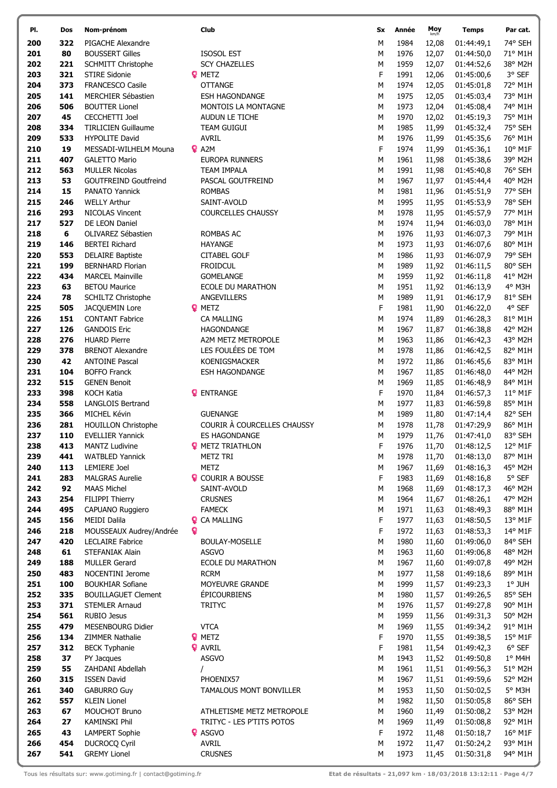| PI.        | Dos        | Nom-prénom                                          |   | <b>Club</b>                             | Sx        | Année        | Moy            | <b>Temps</b>             | Par cat.           |
|------------|------------|-----------------------------------------------------|---|-----------------------------------------|-----------|--------------|----------------|--------------------------|--------------------|
| 200        | 322        | PIGACHE Alexandre                                   |   |                                         | М         | 1984         | 12,08          | 01:44:49,1               | 74° SEH            |
| 201        | 80         | <b>BOUSSERT Gilles</b>                              |   | <b>ISOSOL EST</b>                       | М         | 1976         | 12,07          | 01:44:50,0               | 71° M1H            |
| 202        | 221        | SCHMITT Christophe                                  |   | <b>SCY CHAZELLES</b>                    | М         | 1959         | 12,07          | 01:44:52,6               | 38° M2H            |
| 203        | 321        | <b>STIRE Sidonie</b>                                |   | <b>Q</b> METZ                           | F         | 1991         | 12,06          | 01:45:00,6               | 3° SEF             |
| 204        | 373        | FRANCESCO Casile                                    |   | <b>OTTANGE</b>                          | M         | 1974         | 12,05          | 01:45:01,8               | 72° M1H            |
| 205        | 141        | MERCHIER Sébastien                                  |   | <b>ESH HAGONDANGE</b>                   | M         | 1975         | 12,05          | 01:45:03,4               | 73° M1H            |
| 206        | 506        | <b>BOUTTER Lionel</b>                               |   | MONTOIS LA MONTAGNE                     | М         | 1973         | 12,04          | 01:45:08,4               | 74° M1H            |
| 207        | 45         | <b>CECCHETTI Joel</b>                               |   | AUDUN LE TICHE                          | М         | 1970         | 12,02          | 01:45:19,3               | 75° M1H            |
| 208        | 334        | <b>TIRLICIEN Guillaume</b>                          |   | <b>TEAM GUIGUI</b>                      | M         | 1985         | 11,99          | 01:45:32,4               | 75° SEH            |
| 209        | 533        | <b>HYPOLITE David</b>                               |   | <b>AVRIL</b>                            | М         | 1976         | 11,99          | 01:45:35,6               | 76° M1H            |
| 210        | 19         | MESSADI-WILHELM Mouna                               |   | $Q$ A2M                                 | F         | 1974         | 11,99          | 01:45:36,1               | $10^{\circ}$ M1F   |
| 211        | 407        | <b>GALETTO Mario</b>                                |   | <b>EUROPA RUNNERS</b>                   | M         | 1961         | 11,98          | 01:45:38,6               | 39° M2H            |
| 212        | 563        | <b>MULLER Nicolas</b>                               |   | <b>TEAM IMPALA</b>                      | M         | 1991         | 11,98          | 01:45:40,8               | 76° SEH            |
| 213        | 53         | <b>GOUTFREIND Goutfreind</b>                        |   | PASCAL GOUTFREIND                       | M         | 1967         | 11,97          | 01:45:44,4               | 40° M2H            |
| 214        | 15         | <b>PANATO Yannick</b>                               |   | <b>ROMBAS</b>                           | М         | 1981         | 11,96          | 01:45:51,9               | 77° SEH            |
| 215        | 246        | <b>WELLY Arthur</b>                                 |   | SAINT-AVOLD                             | M         | 1995         | 11,95          | 01:45:53,9               | 78° SEH            |
| 216        | 293        | <b>NICOLAS Vincent</b>                              |   | <b>COURCELLES CHAUSSY</b>               | М         | 1978         | 11,95          | 01:45:57,9               | 77° M1H            |
| 217        | 527        | DE LEON Daniel                                      |   |                                         | M         | 1974         | 11,94          | 01:46:03,0               | 78° M1H            |
| 218        | 6          | OLIVAREZ Sébastien                                  |   | ROMBAS AC                               | M         | 1976         | 11,93          | 01:46:07,3               | 79° M1H            |
| 219        | 146        | <b>BERTEI Richard</b>                               |   | <b>HAYANGE</b>                          | М         | 1973         | 11,93          | 01:46:07,6               | 80° M1H            |
| 220        | 553        | <b>DELAIRE Baptiste</b>                             |   | <b>CITABEL GOLF</b>                     | М         | 1986         | 11,93          | 01:46:07,9               | 79° SEH            |
| 221        | 199        | <b>BERNHARD Florian</b>                             |   | <b>FROIDCUL</b>                         | M         | 1989         | 11,92          | 01:46:11,5               | 80° SEH            |
| 222        | 434        | <b>MARCEL Mainville</b>                             |   | <b>GOMELANGE</b>                        | M         | 1959         | 11,92          | 01:46:11,8               | 41° M2H            |
| 223        | 63         | <b>BETOU Maurice</b>                                |   | ECOLE DU MARATHON                       | М         | 1951         | 11,92          | 01:46:13,9               | 4° M3H             |
| 224        | 78         | SCHILTZ Christophe                                  |   | ANGEVILLERS                             | М         | 1989         | 11,91          | 01:46:17,9               | 81° SEH            |
| 225        | 505        | JACQUEMIN Lore                                      |   | <b>Q</b> METZ                           | F         | 1981         | 11,90          | 01:46:22,0               | 4° SEF             |
| 226        | 151        | <b>CONTANT Fabrice</b>                              |   | CA MALLING                              | M         | 1974         | 11,89          | 01:46:28,3               | 81° M1H            |
| 227<br>228 | 126<br>276 | <b>GANDOIS Eric</b><br><b>HUARD Pierre</b>          |   | <b>HAGONDANGE</b><br>A2M METZ METROPOLE | M<br>М    | 1967<br>1963 | 11,87<br>11,86 | 01:46:38,8<br>01:46:42,3 | 42° M2H<br>43° M2H |
| 229        | 378        | <b>BRENOT Alexandre</b>                             |   | LES FOULÉES DE TOM                      | M         | 1978         | 11,86          | 01:46:42,5               | 82° M1H            |
| 230        | 42         | <b>ANTOINE Pascal</b>                               |   | KOENIGSMACKER                           | M         | 1972         | 11,86          | 01:46:45,6               | 83° M1H            |
| 231        | 104        | <b>BOFFO Franck</b>                                 |   | ESH HAGONDANGE                          | M         | 1967         | 11,85          | 01:46:48,0               | 44° M2H            |
| 232        | 515        | <b>GENEN Benoit</b>                                 |   |                                         | М         | 1969         | 11,85          | 01:46:48,9               | 84° M1H            |
| 233        | 398        | <b>KOCH Katia</b>                                   |   | <b>P</b> ENTRANGE                       | F         | 1970         | 11,84          | 01:46:57,3               | 11° M1F            |
| 234        | 558        | <b>LANGLOIS Bertrand</b>                            |   |                                         | М         | 1977         | 11,83          | 01:46:59,8               | 85° M1H            |
| 235        | 366        | MICHEL Kévin                                        |   | <b>GUENANGE</b>                         | M         | 1989         | 11,80          | 01:47:14,4               | 82° SEH            |
| 236        | 281        | <b>HOUILLON Christophe</b>                          |   | COURIR À COURCELLES CHAUSSY             | M         | 1978         | 11,78          | 01:47:29,9               | 86° M1H            |
| 237        | 110        | <b>EVELLIER Yannick</b>                             |   | <b>ES HAGONDANGE</b>                    | M         | 1979         | 11,76          | 01:47:41,0               | 83° SEH            |
| 238        | 413        | <b>MANTZ Ludivine</b>                               |   | <b>P</b> METZ TRIATHLON                 | F.        | 1976         | 11,70          | 01:48:12,5 12° M1F       |                    |
| 239        | 441        | <b>WATBLED Yannick</b>                              |   | <b>METZ TRI</b>                         | М         | 1978         | 11,70          | 01:48:13,0               | 87° M1H            |
| 240        | 113        | <b>LEMIERE Joel</b>                                 |   | <b>METZ</b>                             | М         | 1967         | 11,69          | 01:48:16,3               | 45° M2H            |
| 241        | 283        | <b>MALGRAS Aurelie</b>                              |   | <b>Q</b> COURIR A BOUSSE                | F         | 1983         | 11,69          | 01:48:16,8               | 5° SEF             |
| 242        | 92         | <b>MAAS Michel</b>                                  |   | SAINT-AVOLD                             | м         | 1968         | 11,69          | 01:48:17,3               | 46° M2H            |
| 243        | 254        | FILIPPI Thierry                                     |   | <b>CRUSNES</b>                          | М         | 1964         | 11,67          | 01:48:26,1               | 47° M2H            |
| 244        | 495        | <b>CAPUANO Ruggiero</b>                             |   | <b>FAMECK</b>                           | М         | 1971         | 11,63          | 01:48:49,3               | 88° M1H            |
| 245        | 156        | <b>MEIDI Dalila</b>                                 |   | <b>Q</b> CA MALLING                     | F         | 1977         | 11,63          | 01:48:50,5               | 13° M1F            |
| 246        | 218        | MOUSSEAUX Audrey/Andrée                             | Q |                                         | F         | 1972         | 11,63          | 01:48:53,3               | 14° M1F            |
| 247        | 420        | <b>LECLAIRE Fabrice</b>                             |   | <b>BOULAY-MOSELLE</b>                   | М         | 1980         | 11,60          | 01:49:06,0               | 84° SEH            |
| 248        | 61         | <b>STEFANIAK Alain</b>                              |   | <b>ASGVO</b>                            | М         | 1963         | 11,60          | 01:49:06,8               | 48° M2H            |
| 249        | 188        | <b>MULLER Gerard</b>                                |   | ECOLE DU MARATHON                       | М         | 1967         | 11,60          | 01:49:07,8               | 49° M2H            |
| 250        | 483        | NOCENTINI Jerome                                    |   | <b>RCRM</b>                             | М         | 1977         | 11,58          | 01:49:18,6               | 89° M1H            |
| 251        | 100        | <b>BOUKHIAR Sofiane</b>                             |   | MOYEUVRE GRANDE<br><b>ÉPICOURBIENS</b>  | М         | 1999         | 11,57          | 01:49:23,3               | $1°$ JUH           |
| 252<br>253 | 335<br>371 | <b>BOUILLAGUET Clement</b><br><b>STEMLER Arnaud</b> |   | <b>TRITYC</b>                           | М<br>М    | 1980<br>1976 | 11,57<br>11,57 | 01:49:26,5<br>01:49:27,8 | 85° SEH<br>90° M1H |
| 254        | 561        | <b>RUBIO Jesus</b>                                  |   |                                         | М         | 1959         | 11,56          | 01:49:31,3               | 50° M2H            |
| 255        | 479        | MESENBOURG Didier                                   |   | <b>VTCA</b>                             | М         | 1969         | 11,55          | 01:49:34,2               | 91° M1H            |
| 256        | 134        | ZIMMER Nathalie                                     |   | <b>Q</b> METZ                           | F         | 1970         | 11,55          | 01:49:38,5               | 15° M1F            |
| 257        | 312        | <b>BECK Typhanie</b>                                |   | <b>♀</b> AVRIL                          | F         | 1981         | 11,54          | 01:49:42,3               | 6° SEF             |
| 258        | 37         | PY Jacques                                          |   | <b>ASGVO</b>                            | М         | 1943         | 11,52          | 01:49:50,8               | $1°$ M4H           |
| 259        | 55         | ZAHDANI Abdellah                                    |   | $\prime$                                | М         | 1961         | 11,51          | 01:49:56,3               | 51° M2H            |
| 260        | 315        | <b>ISSEN David</b>                                  |   | PHOENIX57                               | М         | 1967         | 11,51          | 01:49:59,6               | 52° M2H            |
| 261        | 340        | <b>GABURRO Guy</b>                                  |   | TAMALOUS MONT BONVILLER                 | М         | 1953         | 11,50          | 01:50:02,5               | 5° M3H             |
| 262        | 557        | <b>KLEIN Lionel</b>                                 |   |                                         | М         | 1982         | 11,50          | 01:50:05,8               | 86° SEH            |
| 263        | 67         | MOUCHOT Bruno                                       |   | ATHLETISME METZ METROPOLE               | М         | 1960         | 11,49          | 01:50:08,2               | 53° M2H            |
| 264        | 27         | <b>KAMINSKI Phil</b>                                |   | TRITYC - LES P'TITS POTOS               | м         | 1969         | 11,49          | 01:50:08,8               | 92° M1H            |
| 265        | 43         | <b>LAMPERT Sophie</b>                               |   | <b>♀</b> ASGVO                          | F         | 1972         | 11,48          | 01:50:18,7               | 16° M1F            |
| 266        | 454        | <b>DUCROCQ Cyril</b>                                |   | <b>AVRIL</b>                            | М         | 1972         | 11,47          | 01:50:24,2               | 93° M1H            |
| 267        | 541        | <b>GREMY Lionel</b>                                 |   | <b>CRUSNES</b>                          | ${\sf M}$ | 1973         | 11,45          | 01:50:31,8               | 94° M1H            |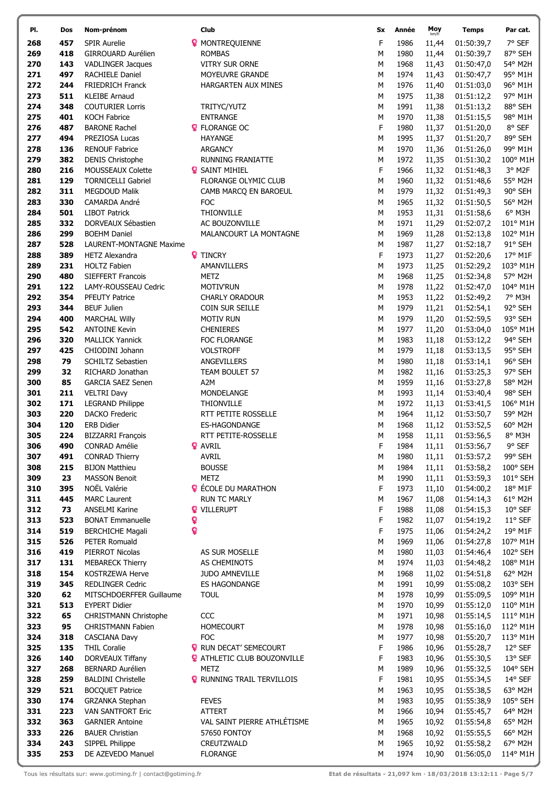| PI.        | Dos        | Nom-prénom                                         |        | Club                                        | Sx     | Année        | Moy            | <b>Temps</b>             | Par cat.                    |
|------------|------------|----------------------------------------------------|--------|---------------------------------------------|--------|--------------|----------------|--------------------------|-----------------------------|
| 268        | 457        | <b>SPIR Aurelie</b>                                |        | <b>?</b> MONTREQUIENNE                      | F      | 1986         | 11,44          | 01:50:39,7               | 7° SEF                      |
| 269        | 418        | GIRROUARD Aurélien                                 |        | <b>ROMBAS</b>                               | M      | 1980         | 11,44          | 01:50:39,7               | 87° SEH                     |
| 270        | 143        | <b>VADLINGER Jacques</b>                           |        | <b>VITRY SUR ORNE</b>                       | M      | 1968         | 11,43          | 01:50:47,0               | 54° M2H                     |
| 271        | 497        | RACHIELE Daniel                                    |        | MOYEUVRE GRANDE                             | M      | 1974         | 11,43          | 01:50:47,7               | 95° M1H                     |
| 272        | 244        | FRIEDRICH Franck                                   |        | HARGARTEN AUX MINES                         | M      | 1976         | 11,40          | 01:51:03,0               | 96° M1H                     |
| 273        | 511        | <b>KLEIBE Arnaud</b>                               |        |                                             | M      | 1975         | 11,38          | 01:51:12,2               | 97° M1H                     |
| 274        | 348        | <b>COUTURIER Lorris</b>                            |        | TRITYC/YUTZ                                 | M      | 1991         | 11,38          | 01:51:13,2               | 88° SEH                     |
| 275        | 401        | <b>KOCH Fabrice</b>                                |        | <b>ENTRANGE</b>                             | M      | 1970         | 11,38          | 01:51:15,5               | 98° M1H                     |
| 276        | 487        | <b>BARONE Rachel</b>                               |        | <b>P</b> FLORANGE OC                        | F      | 1980         | 11,37          | 01:51:20,0               | 8° SEF                      |
| 277<br>278 | 494<br>136 | PREZIOSA Lucas<br><b>RENOUF Fabrice</b>            |        | <b>HAYANGE</b><br><b>ARGANCY</b>            | M<br>M | 1995<br>1970 | 11,37<br>11,36 | 01:51:20,7<br>01:51:26,0 | 89° SEH<br>99° M1H          |
| 279        | 382        | <b>DENIS Christophe</b>                            |        | RUNNING FRANIATTE                           | M      | 1972         | 11,35          | 01:51:30,2               | 100° M1H                    |
| 280        | 216        | MOUSSEAUX Colette                                  |        | <b>? SAINT MIHIEL</b>                       | F      | 1966         | 11,32          | 01:51:48,3               | 3° M2F                      |
| 281        | 129        | <b>TORNICELLI Gabriel</b>                          |        | FLORANGE OLYMIC CLUB                        | M      | 1960         | 11,32          | 01:51:48,6               | 55° M2H                     |
| 282        | 311        | MEGDOUD Malik                                      |        | CAMB MARCQ EN BAROEUL                       | M      | 1979         | 11,32          | 01:51:49,3               | 90° SEH                     |
| 283        | 330        | CAMARDA André                                      |        | <b>FOC</b>                                  | M      | 1965         | 11,32          | 01:51:50,5               | 56° M2H                     |
| 284        | 501        | <b>LIBOT Patrick</b>                               |        | THIONVILLE                                  | M      | 1953         | 11,31          | 01:51:58,6               | 6° M3H                      |
| 285        | 332        | DORVEAUX Sébastien                                 |        | AC BOUZONVILLE                              | M      | 1971         | 11,29          | 01:52:07,2               | 101° M1H                    |
| 286        | 299        | <b>BOEHM Daniel</b>                                |        | MALANCOURT LA MONTAGNE                      | M      | 1969         | 11,28          | 01:52:13,8               | 102° M1H                    |
| 287        | 528        | LAURENT-MONTAGNE Maxime                            |        |                                             | M      | 1987         | 11,27          | 01:52:18,7               | 91° SEH                     |
| 288        | 389        | <b>HETZ Alexandra</b>                              |        | <b>9 TINCRY</b>                             | F      | 1973         | 11,27          | 01:52:20,6               | 17° M1F                     |
| 289        | 231        | <b>HOLTZ Fabien</b>                                |        | AMANVILLERS                                 | М      | 1973         | 11,25          | 01:52:29,2               | 103° M1H                    |
| 290<br>291 | 480<br>122 | <b>SIEFFERT Francois</b><br>LAMY-ROUSSEAU Cedric   |        | <b>METZ</b><br>MOTIV'RUN                    | M<br>M | 1968<br>1978 | 11,25<br>11,22 | 01:52:34,8<br>01:52:47,0 | 57° M2H<br>104° M1H         |
| 292        | 354        | PFEUTY Patrice                                     |        | <b>CHARLY ORADOUR</b>                       | M      | 1953         | 11,22          | 01:52:49,2               | 7° M3H                      |
| 293        | 344        | <b>BEUF Julien</b>                                 |        | COIN SUR SEILLE                             | M      | 1979         | 11,21          | 01:52:54,1               | 92° SEH                     |
| 294        | 400        | <b>MARCHAL Willy</b>                               |        | <b>MOTIV RUN</b>                            | M      | 1979         | 11,20          | 01:52:59,5               | 93° SEH                     |
| 295        | 542        | <b>ANTOINE Kevin</b>                               |        | <b>CHENIERES</b>                            | M      | 1977         | 11,20          | 01:53:04,0               | 105° M1H                    |
| 296        | 320        | <b>MALLICK Yannick</b>                             |        | FOC FLORANGE                                | M      | 1983         | 11,18          | 01:53:12,2               | 94° SEH                     |
| 297        | 425        | CHIODINI Johann                                    |        | <b>VOLSTROFF</b>                            | M      | 1979         | 11,18          | 01:53:13,5               | 95° SEH                     |
| 298        | 79         | SCHILTZ Sebastien                                  |        | ANGEVILLERS                                 | M      | 1980         | 11,18          | 01:53:14,1               | 96° SEH                     |
| 299        | 32         | RICHARD Jonathan                                   |        | TEAM BOULET 57                              | M      | 1982         | 11,16          | 01:53:25,3               | 97° SEH                     |
| 300        | 85         | <b>GARCIA SAEZ Senen</b>                           |        | A <sub>2</sub> M                            | M      | 1959         | 11,16          | 01:53:27,8               | 58° M2H                     |
| 301        | 211        | <b>VELTRI Davy</b>                                 |        | MONDELANGE                                  | M      | 1993         | 11,14          | 01:53:40,4               | 98° SEH                     |
| 302<br>303 | 171<br>220 | <b>LEGRAND Philippe</b><br><b>DACKO Frederic</b>   |        | <b>THIONVILLE</b><br>RTT PETITE ROSSELLE    | M<br>M | 1972<br>1964 | 11,13<br>11,12 | 01:53:41,5<br>01:53:50,7 | 106° M1H<br>59° M2H         |
| 304        | 120        | <b>ERB Didier</b>                                  |        | ES-HAGONDANGE                               | M      | 1968         | 11,12          | 01:53:52,5               | 60° M2H                     |
| 305        | 224        | <b>BIZZARRI François</b>                           |        | RTT PETITE-ROSSELLE                         | M      | 1958         | 11,11          | 01:53:56,5               | 8° M3H                      |
| 306        | 490        | CONRAD Amélie                                      |        | <b>Q</b> AVRIL                              | F      | 1984         | 11,11          | 01:53:56,7               | 9° SEF                      |
| 307        | 491        | <b>CONRAD Thierry</b>                              |        | <b>AVRIL</b>                                | M      | 1980         | 11,11          | 01:53:57,2               | 99° SEH                     |
| 308        | 215        | <b>BIJON Matthieu</b>                              |        | <b>BOUSSE</b>                               | M      | 1984         | 11,11          | 01:53:58,2               | 100° SEH                    |
| 309        | 23         | <b>MASSON Benoit</b>                               |        | <b>METZ</b>                                 | M      | 1990         | 11,11          | 01:53:59,3               | 101° SEH                    |
| 310        | 395        | NOËL Valérie                                       |        | <b>P</b> ÉCOLE DU MARATHON                  | F      | 1973         | 11,10          | 01:54:00,2               | 18° M1F                     |
| 311        | 445        | <b>MARC Laurent</b>                                |        | <b>RUN TC MARLY</b>                         | М      | 1967         | 11,08          | 01:54:14,3               | 61° M2H                     |
| 312        | 73         | <b>ANSELMI Karine</b>                              |        | <b>?</b> VILLERUPT                          | F      | 1988         | 11,08          | 01:54:15,3               | 10° SEF                     |
| 313<br>314 | 523<br>519 | <b>BONAT Emmanuelle</b><br><b>BERCHICHE Magali</b> | Q<br>Q |                                             | F<br>F | 1982<br>1975 | 11,07<br>11,06 | 01:54:19,2<br>01:54:24,2 | 11° SEF<br>$19^{\circ}$ M1F |
| 315        | 526        | PETER Romuald                                      |        |                                             | M      | 1969         | 11,06          | 01:54:27,8               | 107° M1H                    |
| 316        | 419        | PIERROT Nicolas                                    |        | AS SUR MOSELLE                              | M      | 1980         | 11,03          | 01:54:46,4               | 102° SEH                    |
| 317        | 131        | <b>MEBARECK Thierry</b>                            |        | AS CHEMINOTS                                | M      | 1974         | 11,03          | 01:54:48,2               | 108° M1H                    |
| 318        | 154        | KOSTRZEWA Herve                                    |        | JUDO AMNEVILLE                              | M      | 1968         | 11,02          | 01:54:51,8               | 62° M2H                     |
| 319        | 345        | REDLINGER Cedric                                   |        | ES HAGONDANGE                               | М      | 1991         | 10,99          | 01:55:08,2               | 103° SEH                    |
| 320        | 62         | MITSCHDOERFFER Guillaume                           |        | <b>TOUL</b>                                 | M      | 1978         | 10,99          | 01:55:09,5               | 109° M1H                    |
| 321        | 513        | <b>EYPERT Didier</b>                               |        |                                             | M      | 1970         | 10,99          | 01:55:12,0               | 110° M1H                    |
| 322        | 65         | CHRISTMANN Christophe                              |        | CCC                                         | M      | 1971         | 10,98          | 01:55:14,5               | $111^{\circ}$ M1H           |
| 323        | 95         | CHRISTMANN Fabien                                  |        | <b>HOMECOURT</b>                            | M      | 1978         | 10,98          | 01:55:16,0               | 112° M1H                    |
| 324<br>325 | 318<br>135 | <b>CASCIANA Davy</b><br><b>THIL Coralie</b>        |        | <b>FOC</b><br><b>P</b> RUN DECAT' SEMECOURT | M<br>F | 1977<br>1986 | 10,98<br>10,96 | 01:55:20,7<br>01:55:28,7 | 113° M1H<br>12° SEF         |
| 326        | 140        | DORVEAUX Tiffany                                   |        | <b>Q</b> ATHLETIC CLUB BOUZONVILLE          | F      | 1983         | 10,96          | 01:55:30,5               | 13° SEF                     |
| 327        | 268        | <b>BERNARD Aurélien</b>                            |        | <b>METZ</b>                                 | M      | 1989         | 10,96          | 01:55:32,5               | 104° SEH                    |
| 328        | 259        | <b>BALDINI Christelle</b>                          |        | <b>P</b> RUNNING TRAIL TERVILLOIS           | F      | 1981         | 10,95          | 01:55:34,5               | 14° SEF                     |
| 329        | 521        | <b>BOCQUET Patrice</b>                             |        |                                             | M      | 1963         | 10,95          | 01:55:38,5               | 63° M2H                     |
| 330        | 174        | <b>GRZANKA Stephan</b>                             |        | <b>FEVES</b>                                | M      | 1983         | 10,95          | 01:55:38,9               | 105° SEH                    |
| 331        | 223        | <b>VAN SANTFORT Eric</b>                           |        | ATTERT                                      | M      | 1966         | 10,94          | 01:55:45,7               | 64° M2H                     |
| 332        | 363        | <b>GARNIER Antoine</b>                             |        | VAL SAINT PIERRE ATHLÉTISME                 | M      | 1965         | 10,92          | 01:55:54,8               | 65° M2H                     |
| 333        | 226        | <b>BAUER Christian</b>                             |        | 57650 FONTOY                                | M      | 1968         | 10,92          | 01:55:55,5               | 66° M2H                     |
| 334        | 243        | SIPPEL Philippe                                    |        | CREUTZWALD                                  | M      | 1965         | 10,92          | 01:55:58,2               | 67° M2H                     |
| 335        | 253        | DE AZEVEDO Manuel                                  |        | <b>FLORANGE</b>                             | M      | 1974         | 10,90          | 01:56:05,0               | 114° M1H                    |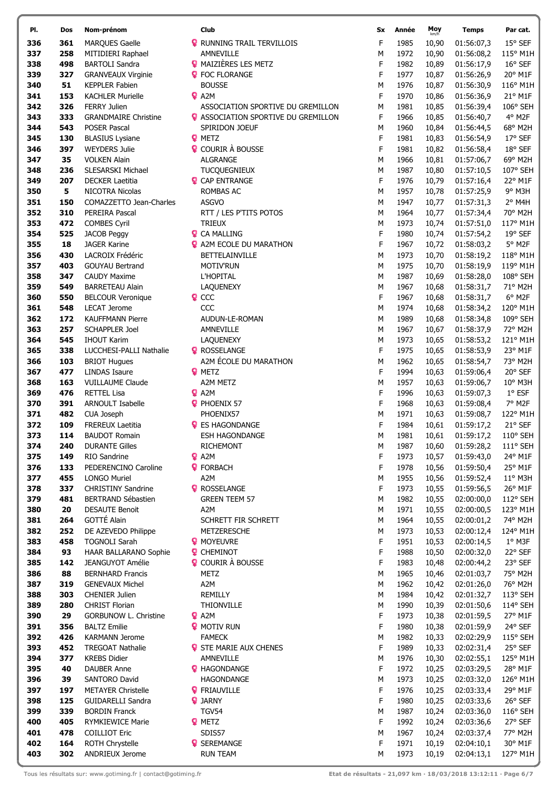| PI.        | Dos             | Nom-prénom                                        |
|------------|-----------------|---------------------------------------------------|
| 336        | 361             | <b>MARQUES Gaelle</b>                             |
| 337        | 258             | MITIDIERI Raphael                                 |
| 338        | 498             | <b>BARTOLI Sandra</b>                             |
| 339        | 327             | <b>GRANVEAUX Virginie</b>                         |
| 340<br>341 | 51<br>153       | <b>KEPPLER Fabien</b><br><b>KACHLER Murielle</b>  |
| 342        |                 | 326 FERRY Julien                                  |
| 343        |                 | 333 GRANDMAIRE Christine                          |
| 344        |                 | <b>543</b> POSER Pascal                           |
| 345        |                 | 130 BLASIUS Lysiane                               |
| 346        | 397             | <b>WEYDERS Julie</b>                              |
| 347        | 35              | <b>VOLKEN Alain</b>                               |
| 348        | 236             | <b>SLESARSKI Michael</b>                          |
| 349        | 207             | <b>DECKER Laetitia</b>                            |
| 350        | 5.              | NICOTRA Nicolas                                   |
| 351        | 150             | COMAZZETTO Jean-Charles<br>310 PEREIRA Pascal     |
| 352<br>353 | 472             | <b>COMBES Cyril</b>                               |
| 354        | 525             | <b>JACOB Peggy</b>                                |
| 355        | 18              | <b>JAGER Karine</b>                               |
| 356        | 430             | <b>LACROIX Frédéric</b>                           |
| 357        | 403             | <b>GOUYAU Bertrand</b>                            |
| 358        | 347             | <b>CAUDY Maxime</b>                               |
| 359        | 549             | <b>BARRETEAU Alain</b>                            |
| 360        |                 | 550 BELCOUR Veronique                             |
| 361        |                 | 548 LECAT Jerome                                  |
| 362        |                 | 172 KAUFFMANN Pierre                              |
| 363        | 257             | <b>SCHAPPLER Joel</b>                             |
| 364<br>365 | 545<br>338      | <b>IHOUT Karim</b><br>LUCCHESI-PALLI Nathalie     |
| 366        | 103             | <b>BRIOT Hugues</b>                               |
| 367        | $\frac{1}{477}$ | <b>LINDAS Isaure</b>                              |
| 368        | 163             | <b>VUILLAUME Claude</b>                           |
| 369        | 476             | <b>RETTEL Lisa</b>                                |
| 370        | 391             | <b>ARNOULT Isabelle</b>                           |
| 371        | 482             | <b>CUA Joseph</b>                                 |
| 372        |                 | 109 FREREUX Laetitia                              |
| 373        |                 | 114 BAUDOT Romain                                 |
| 374        | 240             | <b>DURANTE Gilles</b>                             |
| 375<br>376 | 149<br>133      | RIO Sandrine<br>PEDERENCINO Caroline              |
| 377        | 455             | <b>LONGO Muriel</b>                               |
| 378        | 337             | <b>CHRISTINY Sandrine</b>                         |
| 379        |                 | 481 BERTRAND Sébastien                            |
| 380        | 20 —            | <b>DESAUTE Benoit</b>                             |
| 381        | 264             | GOTTÉ Alain                                       |
| 382        | 252             | DE AZEVEDO Philippe                               |
| 383        | 458             | <b>TOGNOLI Sarah</b>                              |
| 384        | 93              | HAAR BALLARANO Sophie                             |
| 385        | 142             | JEANGUYOT Amélie                                  |
| 386<br>387 | 88<br>319       | <b>BERNHARD Francis</b><br><b>GENEVAUX Michel</b> |
| 388        | 303             | CHENIER Julien                                    |
| 389        | 280             | <b>CHRIST Florian</b>                             |
| 390        | 29              | <b>GORBUNOW L. Christine</b>                      |
| 391        |                 | 356 BALTZ Emilie                                  |
| 392        |                 | 426 KARMANN Jerome                                |
| 393        | 452             | <b>TREGOAT Nathalie</b>                           |
| 394        | 377             | <b>KREBS Didier</b>                               |
| 395        | 40              | <b>DAUBER Anne</b>                                |
| 396        | 39              | <b>SANTORO David</b>                              |
| 397        | 197             | METAYER Christelle                                |
| 398<br>399 | 125<br>339      | <b>GUIDARELLI Sandra</b><br><b>BORDIN Franck</b>  |
| 400        | 405             | <b>RYMKIEWICE Marie</b>                           |
| 401        | 478             | <b>COILLIOT Eric</b>                              |
| 402        | 164             | ROTH Chrystelle                                   |
| 403        |                 | 302 ANDRIFUX Jerome                               |

| PI. | Dos | Nom-prénom                   | Club                                       | Sx | Année | Moy<br>km/h | <b>Temps</b>              | Par cat.         |
|-----|-----|------------------------------|--------------------------------------------|----|-------|-------------|---------------------------|------------------|
| 336 | 361 | <b>MARQUES Gaelle</b>        | <b>P</b> RUNNING TRAIL TERVILLOIS          | F  | 1985  | 10,90       | 01:56:07,3                | 15° SEF          |
| 337 | 258 | MITIDIERI Raphael            | <b>AMNEVILLE</b>                           | M  | 1972  | 10,90       | 01:56:08,2                | 115° M1H         |
| 338 | 498 | <b>BARTOLI Sandra</b>        | <b>P</b> MAIZIÈRES LES METZ                | F  | 1982  | 10,89       | 01:56:17,9                | 16° SEF          |
| 339 | 327 | <b>GRANVEAUX Virginie</b>    | <b>Q</b> FOC FLORANGE                      | F  | 1977  | 10,87       | 01:56:26,9                | 20° M1F          |
|     | 51  | <b>KEPPLER Fabien</b>        | <b>BOUSSE</b>                              |    |       |             |                           | 116° M1H         |
| 340 |     |                              |                                            | M  | 1976  | 10,87       | 01:56:30,9                |                  |
| 341 | 153 | <b>KACHLER Murielle</b>      | $Q$ A <sub>2</sub> M                       | F  | 1970  | 10,86       | 01:56:36,9                | 21° M1F          |
| 342 | 326 | <b>FERRY Julien</b>          | ASSOCIATION SPORTIVE DU GREMILLON          | M  | 1981  | 10,85       | 01:56:39,4                | $106^\circ$ SEH  |
| 343 | 333 | <b>GRANDMAIRE Christine</b>  | <b>2</b> ASSOCIATION SPORTIVE DU GREMILLON | F  | 1966  | 10,85       | 01:56:40,7                | 4° M2F           |
| 344 | 543 | <b>POSER Pascal</b>          | SPIRIDON JOEUF                             | M  | 1960  | 10,84       | 01:56:44,5                | 68° M2H          |
| 345 | 130 | <b>BLASIUS Lysiane</b>       | <b>Q</b> METZ                              | F  | 1981  | 10,83       | 01:56:54,9                | 17° SEF          |
| 346 | 397 | <b>WEYDERS Julie</b>         | <b>Q</b> COURIR À BOUSSE                   | F  | 1981  | 10,82       | 01:56:58,4                | 18° SEF          |
| 347 | 35  | <b>VOLKEN Alain</b>          | <b>ALGRANGE</b>                            | M  | 1966  | 10,81       | 01:57:06,7                | 69° M2H          |
| 348 | 236 | SLESARSKI Michael            | <b>TUCQUEGNIEUX</b>                        | M  | 1987  | 10,80       | 01:57:10,5                | 107° SEH         |
| 349 | 207 | <b>DECKER Laetitia</b>       | <b>Q</b> CAP ENTRANGE                      | F  | 1976  | 10,79       | 01:57:16,4                | $22^{\circ}$ M1F |
| 350 | 5   | NICOTRA Nicolas              | <b>ROMBAS AC</b>                           | M  | 1957  | 10,78       | 01:57:25,9                | 9° M3H           |
| 351 | 150 | COMAZZETTO Jean-Charles      | <b>ASGVO</b>                               | M  | 1947  | 10,77       | 01:57:31,3                | $2^{\circ}$ M4H  |
| 352 | 310 | PEREIRA Pascal               | RTT / LES P'TITS POTOS                     | M  | 1964  | 10,77       | 01:57:34,4                | 70° M2H          |
| 353 | 472 | <b>COMBES Cyril</b>          | <b>TRIEUX</b>                              | M  | 1973  | 10,74       | 01:57:51,0                | 117° M1H         |
| 354 | 525 | <b>JACOB Peggy</b>           | <b>Q</b> CA MALLING                        | F  | 1980  | 10,74       | 01:57:54,2                | 19° SEF          |
| 355 | 18  | <b>JAGER Karine</b>          | <b>Q</b> A2M ECOLE DU MARATHON             | F  | 1967  | 10,72       | 01:58:03,2                | 5° M2F           |
| 356 | 430 | LACROIX Frédéric             | <b>BETTELAINVILLE</b>                      | M  | 1973  | 10,70       | 01:58:19,2                | 118° M1H         |
| 357 | 403 | <b>GOUYAU Bertrand</b>       | MOTIV'RUN                                  | M  | 1975  | 10,70       | 01:58:19,9                | 119° M1H         |
| 358 | 347 | <b>CAUDY Maxime</b>          | L'HOPITAL                                  | M  | 1987  | 10,69       | 01:58:28,0                | 108° SEH         |
| 359 | 549 |                              |                                            |    | 1967  |             |                           | 71° M2H          |
|     |     | <b>BARRETEAU Alain</b>       | <b>LAQUENEXY</b>                           | M  |       | 10,68       | 01:58:31,7                |                  |
| 360 | 550 | <b>BELCOUR Veronique</b>     | $\Omega$ CCC                               | F  | 1967  | 10,68       | 01:58:31,7                | 6° M2F           |
| 361 | 548 | <b>LECAT Jerome</b>          | CCC                                        | M  | 1974  | 10,68       | 01:58:34,2                | 120° M1H         |
| 362 | 172 | <b>KAUFFMANN Pierre</b>      | AUDUN-LE-ROMAN                             | M  | 1989  | 10,68       | 01:58:34,8                | 109° SEH         |
| 363 | 257 | <b>SCHAPPLER Joel</b>        | AMNEVILLE                                  | M  | 1967  | 10,67       | 01:58:37,9                | 72° M2H          |
| 364 | 545 | <b>IHOUT Karim</b>           | <b>LAQUENEXY</b>                           | М  | 1973  | 10,65       | 01:58:53,2                | 121° M1H         |
| 365 | 338 | LUCCHESI-PALLI Nathalie      | <b>Q</b> ROSSELANGE                        | F  | 1975  | 10,65       | 01:58:53,9                | 23° M1F          |
| 366 | 103 | <b>BRIOT Hugues</b>          | A2M ÉCOLE DU MARATHON                      | M  | 1962  | 10,65       | 01:58:54,7                | 73° M2H          |
| 367 | 477 | <b>LINDAS Isaure</b>         | <b>Q</b> METZ                              | F  | 1994  | 10,63       | 01:59:06,4                | 20° SEF          |
| 368 | 163 | <b>VUILLAUME Claude</b>      | A2M METZ                                   | M  | 1957  | 10,63       | 01:59:06,7                | 10° M3H          |
| 369 | 476 | <b>RETTEL Lisa</b>           | $Q$ A <sub>2</sub> M                       | F  | 1996  | 10,63       | 01:59:07,3                | $1^{\circ}$ ESF  |
| 370 | 391 | <b>ARNOULT Isabelle</b>      | P PHOENIX 57                               | F  | 1968  | 10,63       | 01:59:08,4                | 7° M2F           |
| 371 | 482 | CUA Joseph                   | PHOENIX57                                  | M  | 1971  | 10,63       | 01:59:08,7                | 122° M1H         |
| 372 | 109 | <b>FREREUX Laetitia</b>      | <b>Q</b> ES HAGONDANGE                     | F  | 1984  | 10,61       | 01:59:17,2                | 21° SEF          |
| 373 | 114 | <b>BAUDOT Romain</b>         | <b>ESH HAGONDANGE</b>                      | M  | 1981  | 10,61       | 01:59:17,2                | 110° SEH         |
| 374 | 240 | <b>DURANTE Gilles</b>        | RICHEMONT                                  | М  | 1987  |             | 10,60 01:59:28,2 111° SEH |                  |
| 375 | 149 | RIO Sandrine                 | $Q$ A <sub>2</sub> M                       | F  | 1973  | 10,57       | 01:59:43,0                | 24° M1F          |
| 376 | 133 | PEDERENCINO Caroline         | <b>Q</b> FORBACH                           | F  | 1978  | 10,56       | 01:59:50,4                | 25° M1F          |
| 377 | 455 | <b>LONGO Muriel</b>          | A <sub>2</sub> M                           | М  | 1955  | 10,56       | 01:59:52,4                | 11° M3H          |
| 378 | 337 | <b>CHRISTINY Sandrine</b>    | <b>&amp;</b> ROSSELANGE                    | F  | 1973  | 10,55       | 01:59:56,5                | 26° M1F          |
| 379 | 481 | <b>BERTRAND Sébastien</b>    | <b>GREEN TEEM 57</b>                       | M  | 1982  | 10,55       | 02:00:00,0                | 112° SEH         |
| 380 | 20  | <b>DESAUTE Benoit</b>        | A2M                                        | M  | 1971  | 10,55       | 02:00:00,5                | 123° M1H         |
| 381 | 264 | <b>GOTTÉ Alain</b>           | SCHRETT FIR SCHRETT                        | M  | 1964  | 10,55       | 02:00:01,2                | 74° M2H          |
| 382 | 252 | DE AZEVEDO Philippe          | <b>METZERESCHE</b>                         | M  | 1973  | 10,53       | 02:00:12,4                | 124° M1H         |
| 383 | 458 | <b>TOGNOLI Sarah</b>         | <b>Q</b> MOYEUVRE                          | F  | 1951  | 10,53       | 02:00:14,5                | 1° M3F           |
| 384 | 93  | HAAR BALLARANO Sophie        | <b>Q</b> CHEMINOT                          | F  | 1988  | 10,50       | 02:00:32,0                | 22° SEF          |
| 385 | 142 | JEANGUYOT Amélie             | <b>Q</b> COURIR À BOUSSE                   | F  | 1983  | 10,48       | 02:00:44,2                | 23° SEF          |
| 386 | 88  | <b>BERNHARD Francis</b>      | <b>METZ</b>                                | M  | 1965  | 10,46       | 02:01:03,7                | 75° M2H          |
| 387 | 319 | <b>GENEVAUX Michel</b>       | A <sub>2</sub> M                           | M  | 1962  | 10,42       | 02:01:26,0                | 76° M2H          |
| 388 | 303 | <b>CHENIER Julien</b>        | <b>REMILLY</b>                             | M  | 1984  | 10,42       | 02:01:32,7                | 113° SEH         |
| 389 | 280 | <b>CHRIST Florian</b>        | THIONVILLE                                 | M  | 1990  | 10,39       | 02:01:50,6                | 114° SEH         |
| 390 | 29  | <b>GORBUNOW L. Christine</b> | $Q$ A2M                                    | F  | 1973  | 10,38       | 02:01:59,5                | 27° M1F          |
| 391 | 356 | <b>BALTZ Emilie</b>          | <b>Q</b> MOTIV RUN                         | F  | 1980  | 10,38       | 02:01:59,9                | 24° SEF          |
| 392 | 426 | <b>KARMANN Jerome</b>        | <b>FAMECK</b>                              | M  | 1982  | 10,33       | 02:02:29,9                | 115° SEH         |
| 393 | 452 | <b>TREGOAT Nathalie</b>      | <b>?</b> STE MARIE AUX CHENES              | F  | 1989  | 10,33       | 02:02:31,4                | 25° SEF          |
| 394 | 377 | <b>KREBS Didier</b>          | AMNEVILLE                                  | M  | 1976  | 10,30       | 02:02:55,1                | 125° M1H         |
| 395 | 40  | <b>DAUBER Anne</b>           | <b>&amp; HAGONDANGE</b>                    | F  | 1972  | 10,25       | 02:03:29,5                | 28° M1F          |
| 396 | 39  | SANTORO David                | HAGONDANGE                                 | М  | 1973  | 10,25       | 02:03:32,0                | 126° M1H         |
| 397 | 197 | <b>METAYER Christelle</b>    | <b>Q</b> FRIAUVILLE                        | F  | 1976  | 10,25       | 02:03:33,4                | 29° M1F          |
| 398 | 125 | <b>GUIDARELLI Sandra</b>     | <b>?</b> JARNY                             | F  | 1980  | 10,25       | 02:03:33,6                | 26° SEF          |
| 399 | 339 | <b>BORDIN Franck</b>         | <b>TGV54</b>                               | M  | 1987  | 10,24       | 02:03:36,0                | 116° SEH         |
| 400 | 405 | RYMKIEWICE Marie             | $P$ METZ                                   | F  | 1992  | 10,24       | 02:03:36,6                | 27° SEF          |
| 401 | 478 | <b>COILLIOT Eric</b>         | SDIS57                                     | М  | 1967  | 10,24       | 02:03:37,4                | 77° M2H          |
| 402 | 164 | ROTH Chrystelle              | <b>Q</b> SEREMANGE                         | F  | 1971  | 10,19       | 02:04:10,1                | 30° M1F          |
| 403 | 302 | ANDRIEUX Jerome              | <b>RUN TEAM</b>                            | М  | 1973  | 10,19       | 02:04:13,1                | 127° M1H         |
|     |     |                              |                                            |    |       |             |                           |                  |